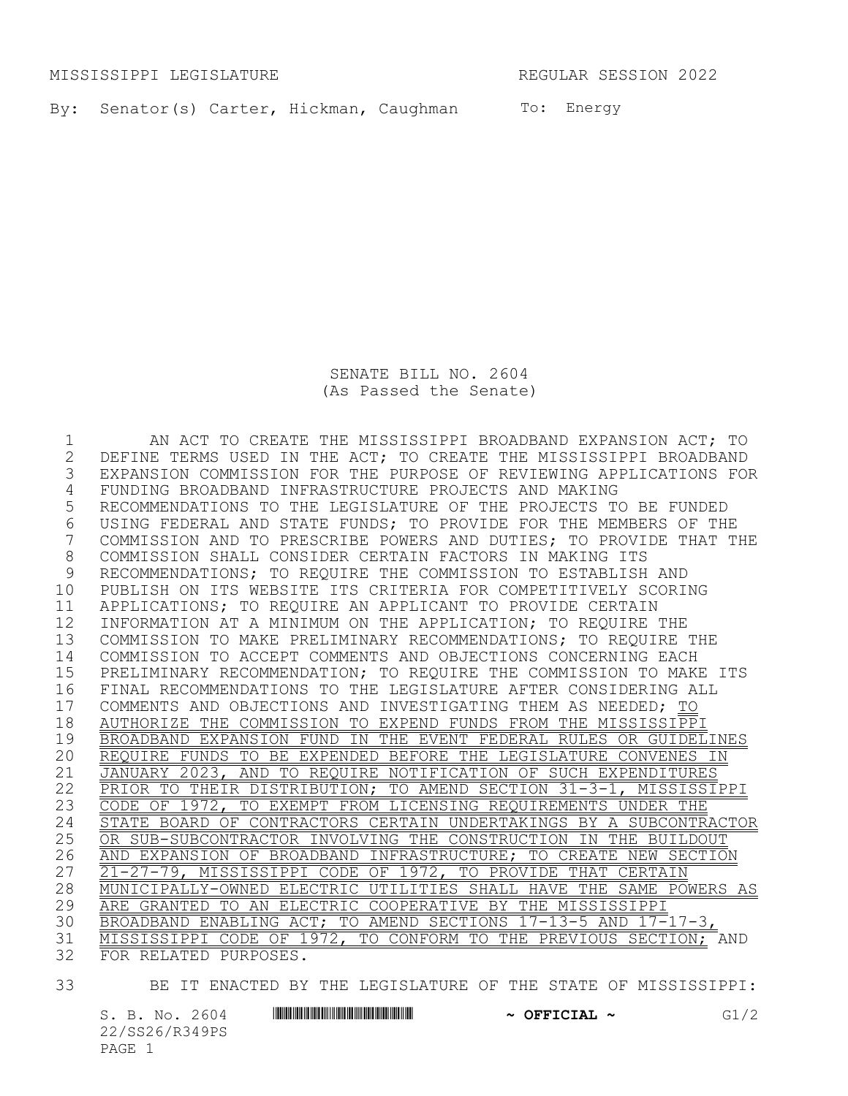MISSISSIPPI LEGISLATURE REGULAR SESSION 2022

By: Senator(s) Carter, Hickman, Caughman To: Energy

SENATE BILL NO. 2604 (As Passed the Senate)

1 AN ACT TO CREATE THE MISSISSIPPI BROADBAND EXPANSION ACT; TO 2 DEFINE TERMS USED IN THE ACT; TO CREATE THE MISSISSIPPI BROADBAND<br>3 EXPANSION COMMISSION FOR THE PURPOSE OF REVIEWING APPLICATIONS FO EXPANSION COMMISSION FOR THE PURPOSE OF REVIEWING APPLICATIONS FOR 4 FUNDING BROADBAND INFRASTRUCTURE PROJECTS AND MAKING 5 RECOMMENDATIONS TO THE LEGISLATURE OF THE PROJECTS TO BE FUNDED 6 USING FEDERAL AND STATE FUNDS; TO PROVIDE FOR THE MEMBERS OF THE<br>7 COMMISSION AND TO PRESCRIBE POWERS AND DUTIES; TO PROVIDE THAT T COMMISSION AND TO PRESCRIBE POWERS AND DUTIES; TO PROVIDE THAT THE 8 COMMISSION SHALL CONSIDER CERTAIN FACTORS IN MAKING ITS<br>9 RECOMMENDATIONS; TO REOUIRE THE COMMISSION TO ESTABLISH RECOMMENDATIONS; TO REOUIRE THE COMMISSION TO ESTABLISH AND 10 PUBLISH ON ITS WEBSITE ITS CRITERIA FOR COMPETITIVELY SCORING 11 APPLICATIONS; TO REQUIRE AN APPLICANT TO PROVIDE CERTAIN 12 INFORMATION AT A MINIMUM ON THE APPLICATION; TO REQUIRE THE 13 COMMISSION TO MAKE PRELIMINARY RECOMMENDATIONS; TO REQUIRE THE 14 COMMISSION TO ACCEPT COMMENTS AND OBJECTIONS CONCERNING EACH 15 PRELIMINARY RECOMMENDATION; TO REQUIRE THE COMMISSION TO MAKE ITS 16 FINAL RECOMMENDATIONS TO THE LEGISLATURE AFTER CONSIDERING ALL 17 COMMENTS AND OBJECTIONS AND INVESTIGATING THEM AS NEEDED; TO<br>18 AUTHORIZE THE COMMISSION TO EXPEND FUNDS FROM THE MISSISSIPP. 18 AUTHORIZE THE COMMISSION TO EXPEND FUNDS FROM THE MISSISSIPPI 19 BROADBAND EXPANSION FUND IN THE EVENT FEDERAL RULES OR GUIDELINES 20 REQUIRE FUNDS TO BE EXPENDED BEFORE THE LEGISLATURE CONVENES IN 21 JANUARY 2023, AND TO REQUIRE NOTIFICATION OF SUCH EXPENDITURES 22 PRIOR TO THEIR DISTRIBUTION; TO AMEND SECTION 31-3-1, MISSISSIPPI 23 CODE OF 1972, TO EXEMPT FROM LICENSING REQUIREMENTS UNDER THE 24 STATE BOARD OF CONTRACTORS CERTAIN UNDERTAKINGS BY A SUBCONTRACTOR<br>25 OR SUB-SUBCONTRACTOR INVOLVING THE CONSTRUCTION IN THE BUILDOUT 25 OR SUB-SUBCONTRACTOR INVOLVING THE CONSTRUCTION IN THE BUILDOUT 26 AND EXPANSION OF BROADBAND INFRASTRUCTURE; TO CREATE NEW SECTION 27 21-27-79, MISSISSIPPI CODE OF 1972, TO PROVIDE THAT CERTAIN 28 MUNICIPALLY-OWNED ELECTRIC UTILITIES SHALL HAVE THE SAME POWERS AS<br>29 ARE GRANTED TO AN ELECTRIC COOPERATIVE BY THE MISSISSIPPI 29 ARE GRANTED TO AN ELECTRIC COOPERATIVE BY THE MISSISSIPPI 30 BROADBAND ENABLING ACT; TO AMEND SECTIONS 17-13-5 AND 17-17-3, 31 MISSISSIPPI CODE OF 1972, TO CONFORM TO THE PREVIOUS SECTION; AND 32 FOR RELATED PURPOSES.

- 
- 33 BE IT ENACTED BY THE LEGISLATURE OF THE STATE OF MISSISSIPPI:

S. B. No. 2604 \*SS26/R349PS\* **~ OFFICIAL ~** G1/2 22/SS26/R349PS PAGE 1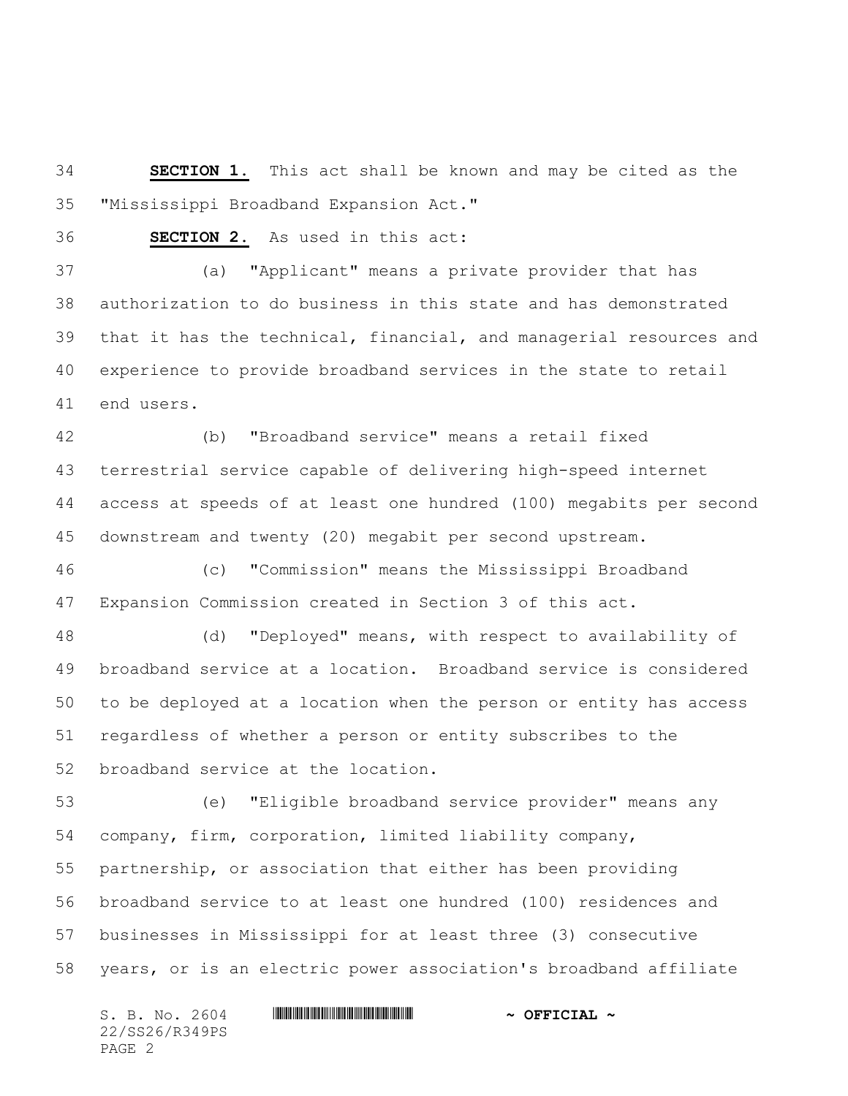**SECTION 1.** This act shall be known and may be cited as the "Mississippi Broadband Expansion Act."

**SECTION 2.** As used in this act:

 (a) "Applicant" means a private provider that has authorization to do business in this state and has demonstrated that it has the technical, financial, and managerial resources and experience to provide broadband services in the state to retail end users.

 (b) "Broadband service" means a retail fixed terrestrial service capable of delivering high-speed internet access at speeds of at least one hundred (100) megabits per second downstream and twenty (20) megabit per second upstream.

 (c) "Commission" means the Mississippi Broadband Expansion Commission created in Section 3 of this act.

 (d) "Deployed" means, with respect to availability of broadband service at a location. Broadband service is considered to be deployed at a location when the person or entity has access regardless of whether a person or entity subscribes to the broadband service at the location.

 (e) "Eligible broadband service provider" means any company, firm, corporation, limited liability company, partnership, or association that either has been providing broadband service to at least one hundred (100) residences and businesses in Mississippi for at least three (3) consecutive years, or is an electric power association's broadband affiliate

S. B. No. 2604 **\*\*\* ASSEMBLE ASSESSED ASSESSED ASSESSED ASSESSED ASSESSED ASSESSED ASSESSED ASSESSED ASSESSED ASSESSED ASSESSED ASSESSED AND <b>ASSESSED ASSESSED ASSESSED ASSESSED ASSESSED** AND **ASSESSED ASSESSED ASSESSED AS** 22/SS26/R349PS PAGE 2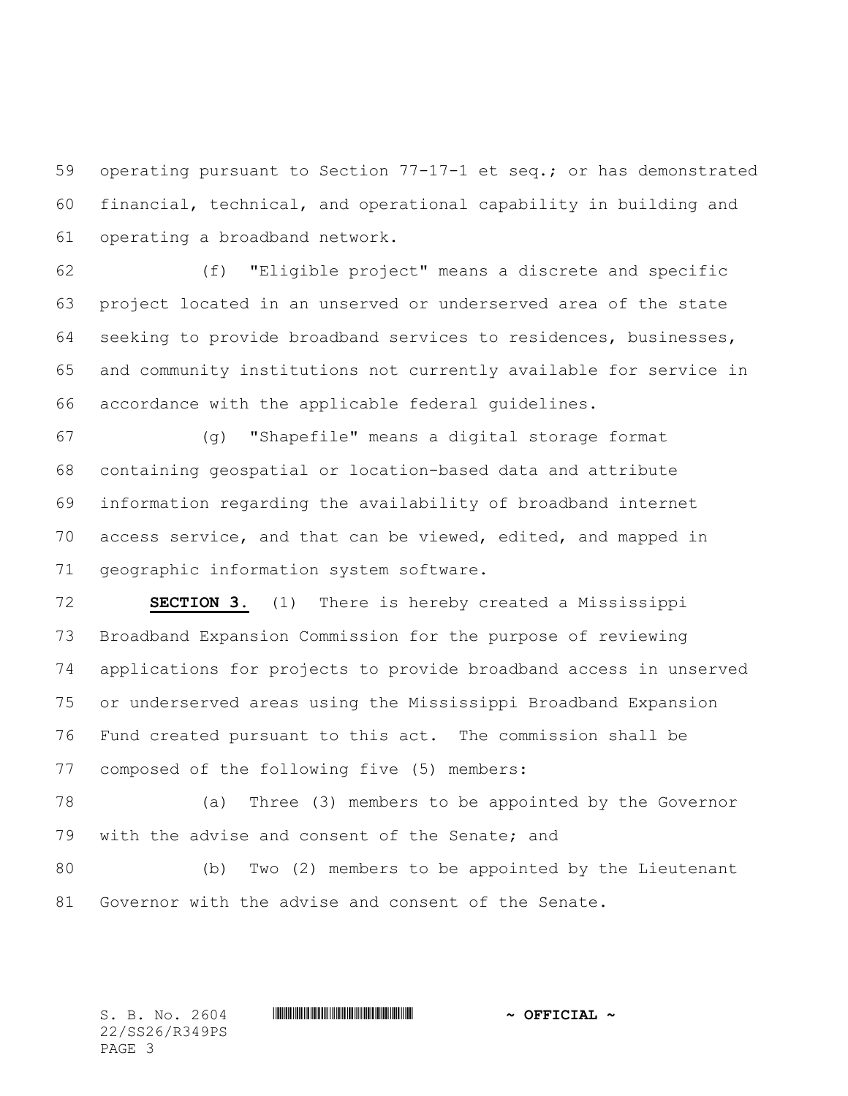operating pursuant to Section 77-17-1 et seq.; or has demonstrated financial, technical, and operational capability in building and operating a broadband network.

 (f) "Eligible project" means a discrete and specific project located in an unserved or underserved area of the state seeking to provide broadband services to residences, businesses, and community institutions not currently available for service in accordance with the applicable federal guidelines.

 (g) "Shapefile" means a digital storage format containing geospatial or location-based data and attribute information regarding the availability of broadband internet access service, and that can be viewed, edited, and mapped in geographic information system software.

 **SECTION 3.** (1) There is hereby created a Mississippi Broadband Expansion Commission for the purpose of reviewing applications for projects to provide broadband access in unserved or underserved areas using the Mississippi Broadband Expansion Fund created pursuant to this act. The commission shall be composed of the following five (5) members:

 (a) Three (3) members to be appointed by the Governor with the advise and consent of the Senate; and

 (b) Two (2) members to be appointed by the Lieutenant Governor with the advise and consent of the Senate.

22/SS26/R349PS PAGE 3

## $S. B. No. 2604$  **. Suppose the set of the set of**  $\sim$  **OFFICIAL**  $\sim$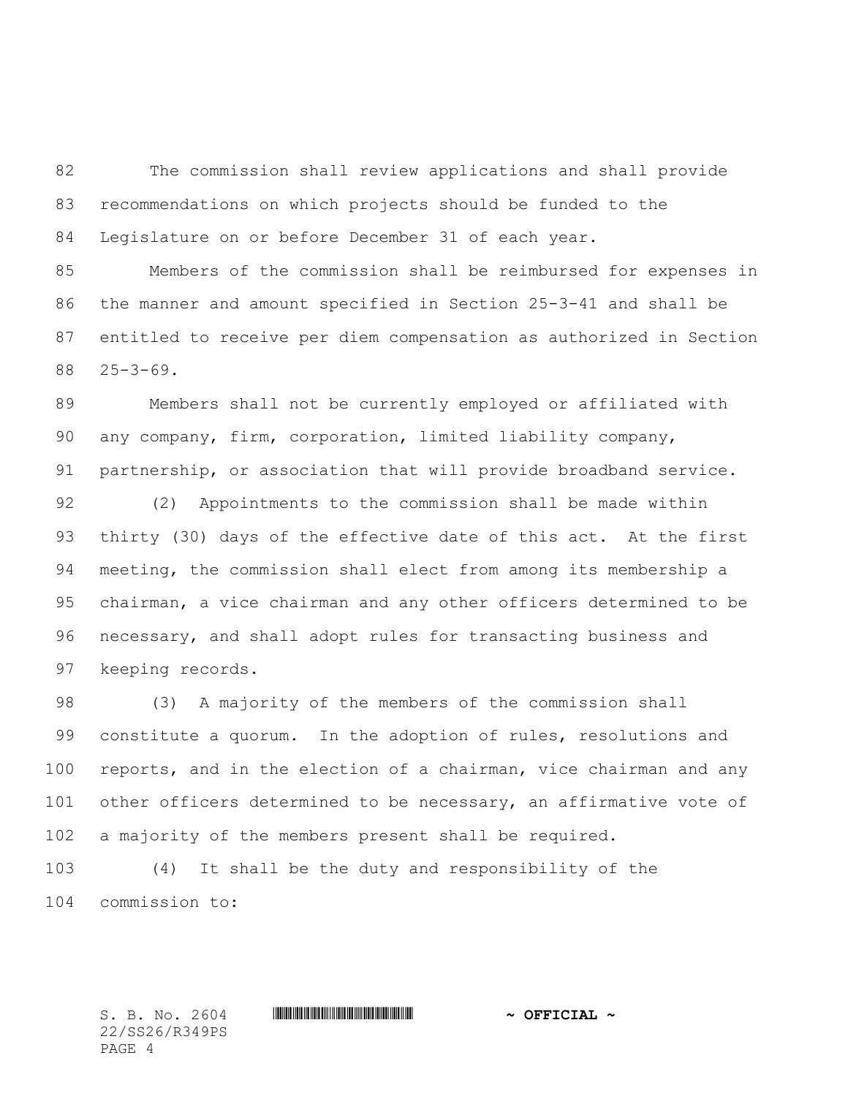The commission shall review applications and shall provide recommendations on which projects should be funded to the Legislature on or before December 31 of each year.

 Members of the commission shall be reimbursed for expenses in the manner and amount specified in Section 25-3-41 and shall be entitled to receive per diem compensation as authorized in Section 25-3-69.

 Members shall not be currently employed or affiliated with any company, firm, corporation, limited liability company, partnership, or association that will provide broadband service.

 (2) Appointments to the commission shall be made within thirty (30) days of the effective date of this act. At the first meeting, the commission shall elect from among its membership a chairman, a vice chairman and any other officers determined to be necessary, and shall adopt rules for transacting business and keeping records.

 (3) A majority of the members of the commission shall constitute a quorum. In the adoption of rules, resolutions and reports, and in the election of a chairman, vice chairman and any 101 other officers determined to be necessary, an affirmative vote of a majority of the members present shall be required.

 (4) It shall be the duty and responsibility of the commission to:

22/SS26/R349PS PAGE 4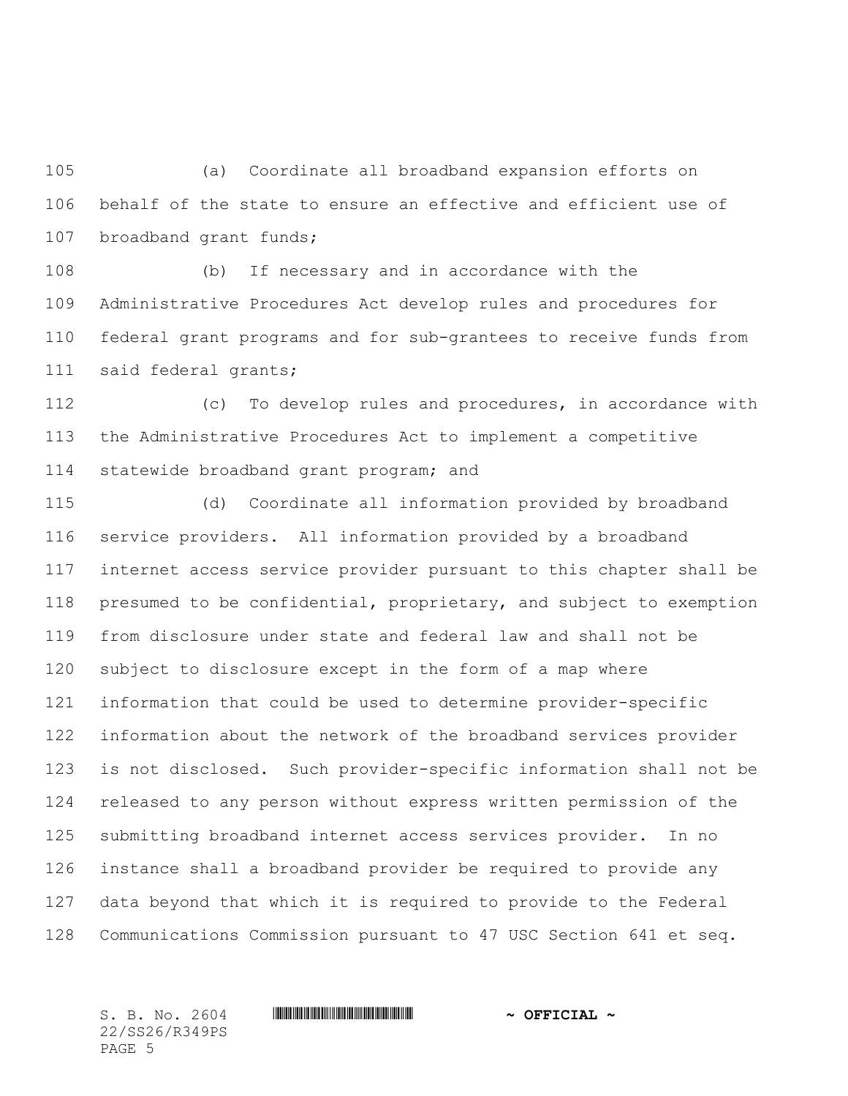(a) Coordinate all broadband expansion efforts on behalf of the state to ensure an effective and efficient use of broadband grant funds;

 (b) If necessary and in accordance with the Administrative Procedures Act develop rules and procedures for federal grant programs and for sub-grantees to receive funds from said federal grants;

 (c) To develop rules and procedures, in accordance with the Administrative Procedures Act to implement a competitive 114 statewide broadband grant program; and

 (d) Coordinate all information provided by broadband service providers. All information provided by a broadband internet access service provider pursuant to this chapter shall be presumed to be confidential, proprietary, and subject to exemption from disclosure under state and federal law and shall not be subject to disclosure except in the form of a map where information that could be used to determine provider-specific information about the network of the broadband services provider is not disclosed. Such provider-specific information shall not be released to any person without express written permission of the submitting broadband internet access services provider. In no instance shall a broadband provider be required to provide any data beyond that which it is required to provide to the Federal Communications Commission pursuant to 47 USC Section 641 et seq.

22/SS26/R349PS PAGE 5

S. B. No. 2604 **\*\*\* IN ANDER AND AND AN ASSEMBLE A ~ OFFICIAL ~**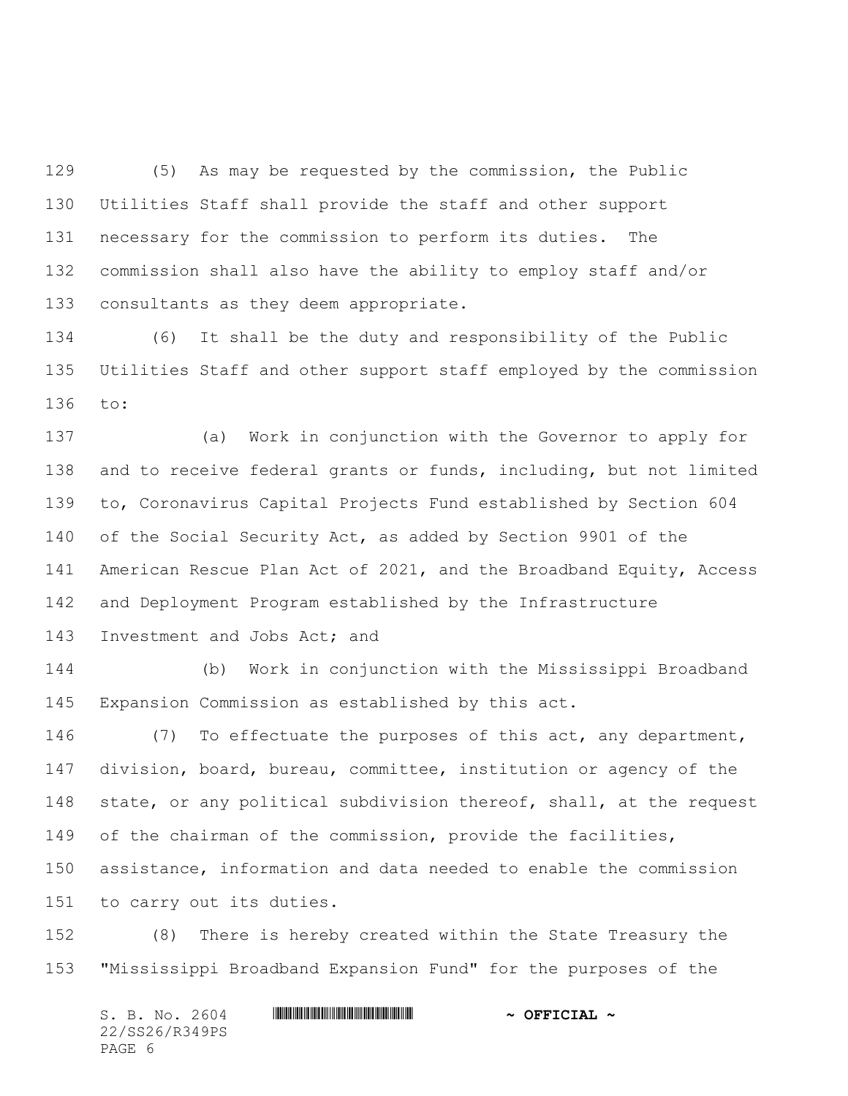(5) As may be requested by the commission, the Public Utilities Staff shall provide the staff and other support necessary for the commission to perform its duties. The commission shall also have the ability to employ staff and/or consultants as they deem appropriate.

 (6) It shall be the duty and responsibility of the Public Utilities Staff and other support staff employed by the commission to:

 (a) Work in conjunction with the Governor to apply for and to receive federal grants or funds, including, but not limited to, Coronavirus Capital Projects Fund established by Section 604 of the Social Security Act, as added by Section 9901 of the American Rescue Plan Act of 2021, and the Broadband Equity, Access and Deployment Program established by the Infrastructure 143 Investment and Jobs Act; and

 (b) Work in conjunction with the Mississippi Broadband Expansion Commission as established by this act.

 (7) To effectuate the purposes of this act, any department, division, board, bureau, committee, institution or agency of the state, or any political subdivision thereof, shall, at the request 149 of the chairman of the commission, provide the facilities, assistance, information and data needed to enable the commission to carry out its duties.

 (8) There is hereby created within the State Treasury the "Mississippi Broadband Expansion Fund" for the purposes of the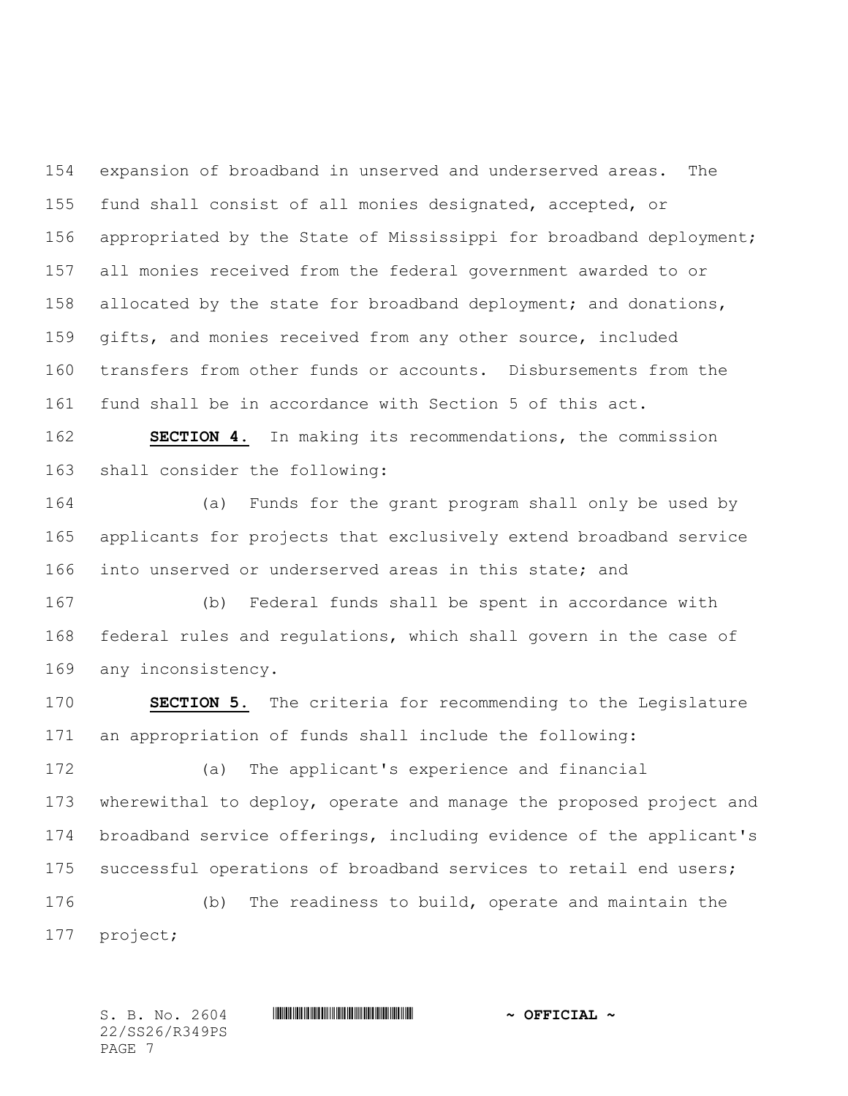expansion of broadband in unserved and underserved areas. The fund shall consist of all monies designated, accepted, or appropriated by the State of Mississippi for broadband deployment; all monies received from the federal government awarded to or allocated by the state for broadband deployment; and donations, gifts, and monies received from any other source, included transfers from other funds or accounts. Disbursements from the fund shall be in accordance with Section 5 of this act.

 **SECTION 4.** In making its recommendations, the commission shall consider the following:

 (a) Funds for the grant program shall only be used by applicants for projects that exclusively extend broadband service into unserved or underserved areas in this state; and

 (b) Federal funds shall be spent in accordance with federal rules and regulations, which shall govern in the case of any inconsistency.

 **SECTION 5.** The criteria for recommending to the Legislature an appropriation of funds shall include the following:

 (a) The applicant's experience and financial wherewithal to deploy, operate and manage the proposed project and broadband service offerings, including evidence of the applicant's 175 successful operations of broadband services to retail end users;

 (b) The readiness to build, operate and maintain the project;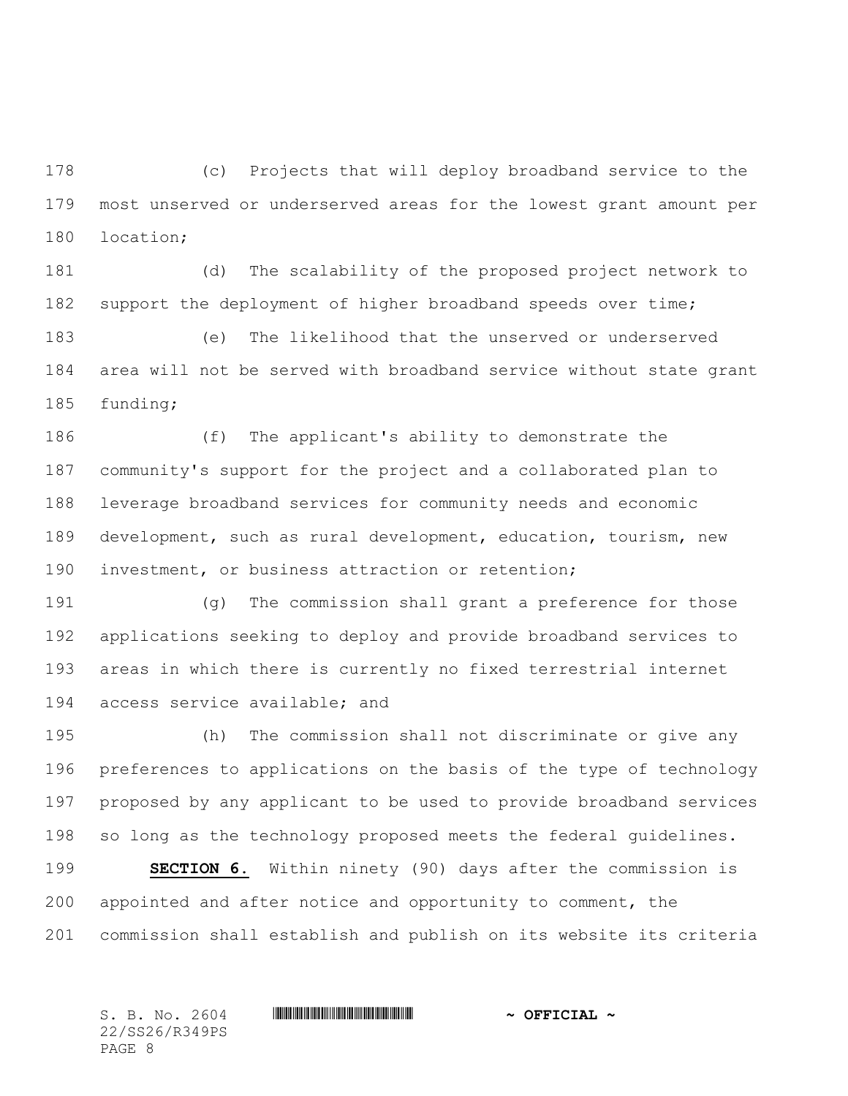(c) Projects that will deploy broadband service to the most unserved or underserved areas for the lowest grant amount per location;

 (d) The scalability of the proposed project network to support the deployment of higher broadband speeds over time;

 (e) The likelihood that the unserved or underserved area will not be served with broadband service without state grant funding;

 (f) The applicant's ability to demonstrate the community's support for the project and a collaborated plan to leverage broadband services for community needs and economic development, such as rural development, education, tourism, new investment, or business attraction or retention;

 (g) The commission shall grant a preference for those applications seeking to deploy and provide broadband services to areas in which there is currently no fixed terrestrial internet access service available; and

 (h) The commission shall not discriminate or give any preferences to applications on the basis of the type of technology proposed by any applicant to be used to provide broadband services so long as the technology proposed meets the federal guidelines.

 **SECTION 6.** Within ninety (90) days after the commission is appointed and after notice and opportunity to comment, the commission shall establish and publish on its website its criteria

S. B. No. 2604 **\*\*\* IN ANDER AND AND AN ASSEMBLE A ~ OFFICIAL ~** 22/SS26/R349PS PAGE 8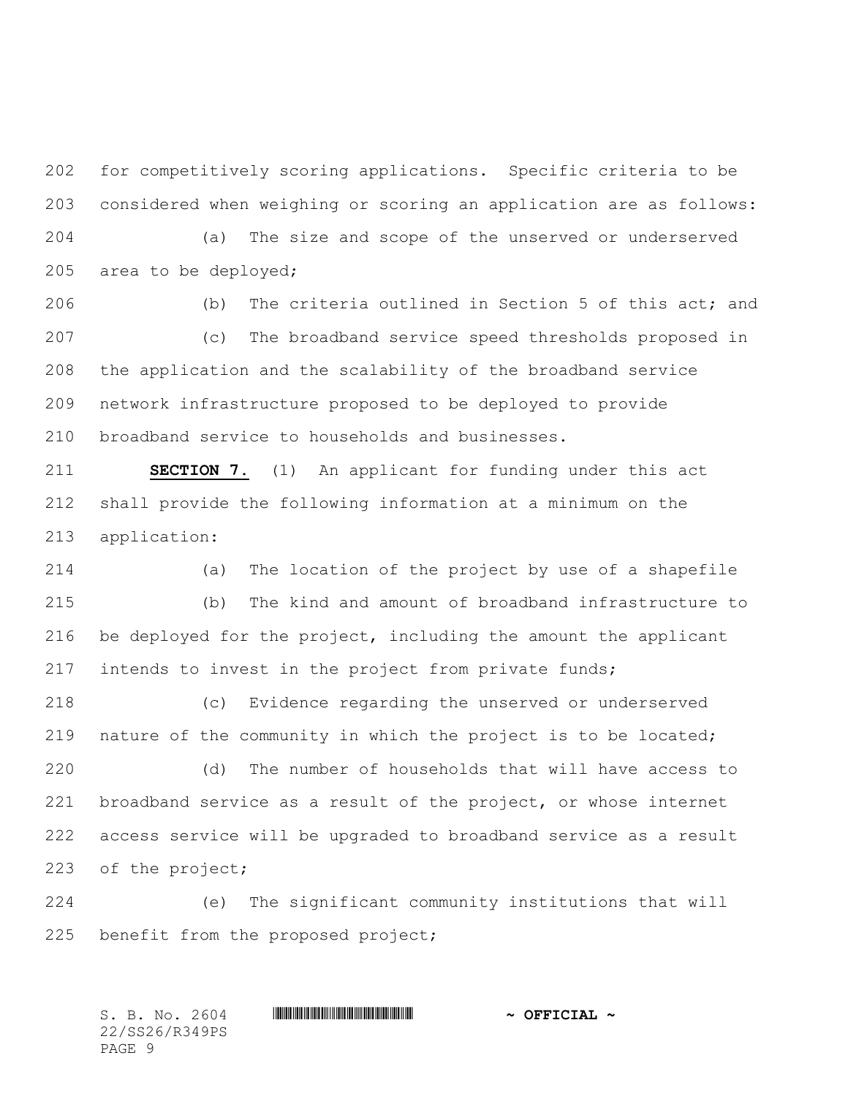for competitively scoring applications. Specific criteria to be considered when weighing or scoring an application are as follows:

 (a) The size and scope of the unserved or underserved area to be deployed;

 (b) The criteria outlined in Section 5 of this act; and (c) The broadband service speed thresholds proposed in the application and the scalability of the broadband service network infrastructure proposed to be deployed to provide broadband service to households and businesses.

 **SECTION 7.** (1) An applicant for funding under this act shall provide the following information at a minimum on the application:

 (a) The location of the project by use of a shapefile (b) The kind and amount of broadband infrastructure to be deployed for the project, including the amount the applicant intends to invest in the project from private funds;

 (c) Evidence regarding the unserved or underserved nature of the community in which the project is to be located;

 (d) The number of households that will have access to broadband service as a result of the project, or whose internet access service will be upgraded to broadband service as a result of the project;

 (e) The significant community institutions that will benefit from the proposed project;

S. B. No. 2604 **\*\*\* IN ANDER AND AND AN ASSEMBLE A ~ OFFICIAL ~** 22/SS26/R349PS PAGE 9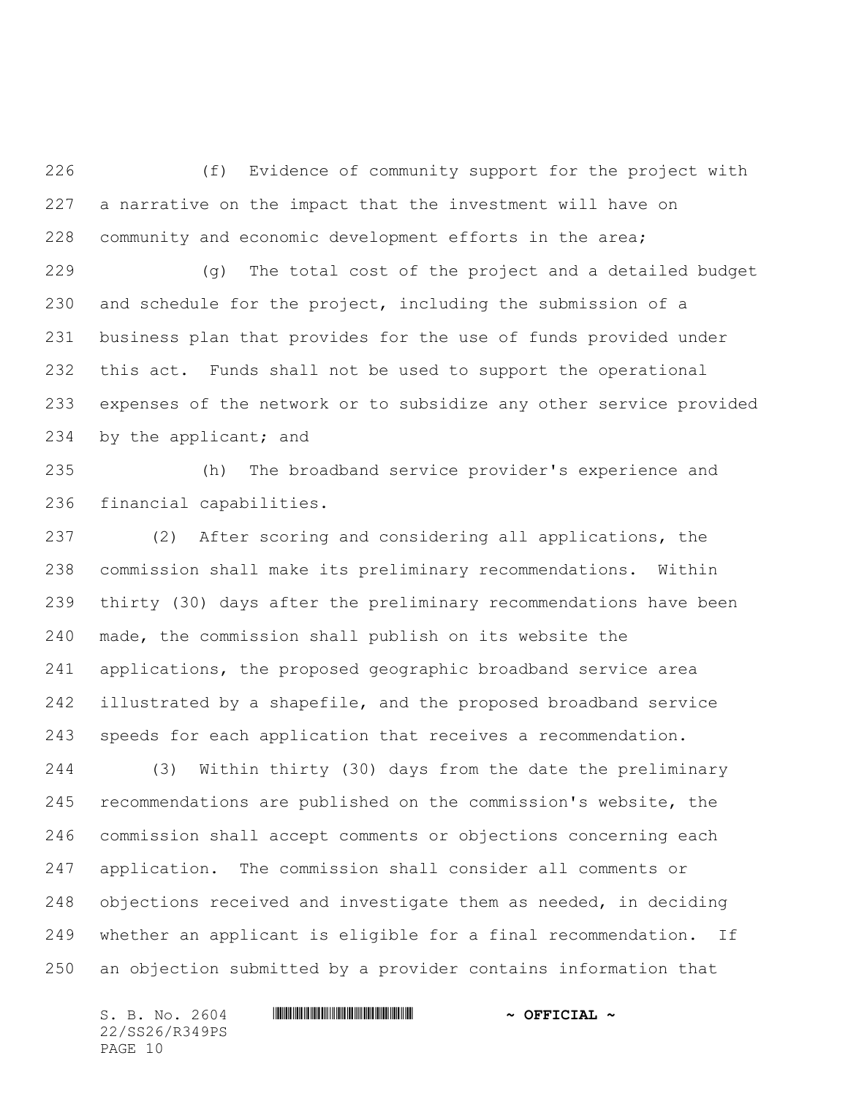(f) Evidence of community support for the project with a narrative on the impact that the investment will have on community and economic development efforts in the area;

 (g) The total cost of the project and a detailed budget and schedule for the project, including the submission of a business plan that provides for the use of funds provided under this act. Funds shall not be used to support the operational expenses of the network or to subsidize any other service provided 234 by the applicant; and

 (h) The broadband service provider's experience and financial capabilities.

 (2) After scoring and considering all applications, the commission shall make its preliminary recommendations. Within thirty (30) days after the preliminary recommendations have been made, the commission shall publish on its website the applications, the proposed geographic broadband service area illustrated by a shapefile, and the proposed broadband service speeds for each application that receives a recommendation.

 (3) Within thirty (30) days from the date the preliminary recommendations are published on the commission's website, the commission shall accept comments or objections concerning each application. The commission shall consider all comments or objections received and investigate them as needed, in deciding whether an applicant is eligible for a final recommendation. If an objection submitted by a provider contains information that

22/SS26/R349PS PAGE 10

 $S. B. No. 2604$  **. Suppose the set of the set of**  $\sim$  **OFFICIAL**  $\sim$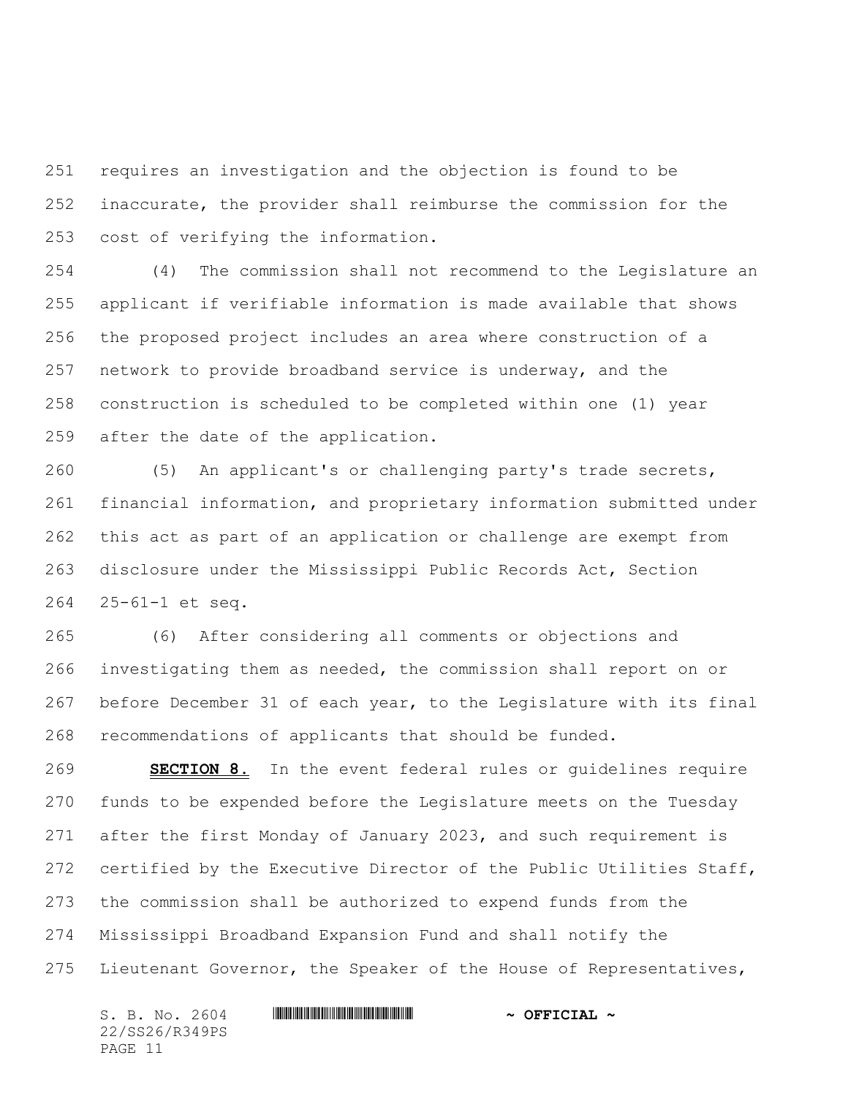requires an investigation and the objection is found to be inaccurate, the provider shall reimburse the commission for the cost of verifying the information.

 (4) The commission shall not recommend to the Legislature an applicant if verifiable information is made available that shows the proposed project includes an area where construction of a network to provide broadband service is underway, and the construction is scheduled to be completed within one (1) year after the date of the application.

 (5) An applicant's or challenging party's trade secrets, financial information, and proprietary information submitted under this act as part of an application or challenge are exempt from disclosure under the Mississippi Public Records Act, Section 25-61-1 et seq.

 (6) After considering all comments or objections and investigating them as needed, the commission shall report on or before December 31 of each year, to the Legislature with its final recommendations of applicants that should be funded.

 **SECTION 8.** In the event federal rules or guidelines require funds to be expended before the Legislature meets on the Tuesday after the first Monday of January 2023, and such requirement is certified by the Executive Director of the Public Utilities Staff, the commission shall be authorized to expend funds from the Mississippi Broadband Expansion Fund and shall notify the Lieutenant Governor, the Speaker of the House of Representatives,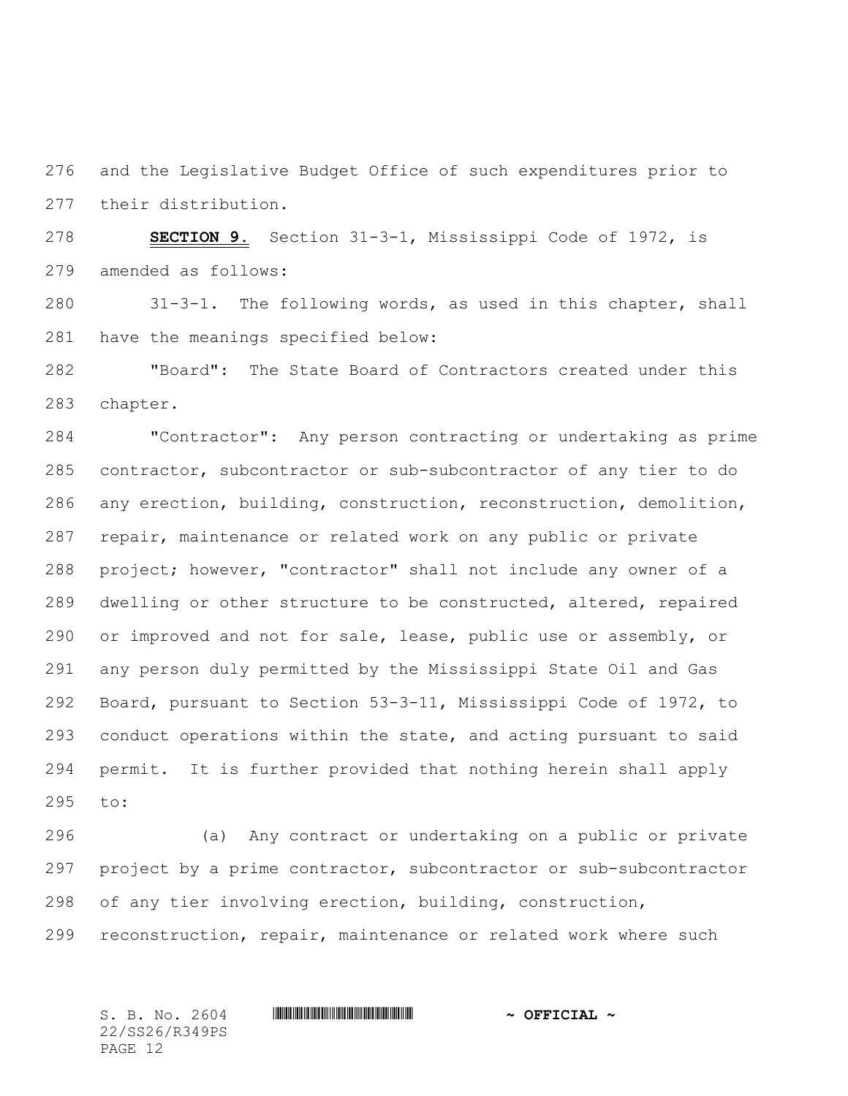and the Legislative Budget Office of such expenditures prior to their distribution.

 **SECTION 9.** Section 31-3-1, Mississippi Code of 1972, is amended as follows:

 31-3-1. The following words, as used in this chapter, shall have the meanings specified below:

 "Board": The State Board of Contractors created under this chapter.

 "Contractor": Any person contracting or undertaking as prime contractor, subcontractor or sub-subcontractor of any tier to do any erection, building, construction, reconstruction, demolition, repair, maintenance or related work on any public or private project; however, "contractor" shall not include any owner of a dwelling or other structure to be constructed, altered, repaired or improved and not for sale, lease, public use or assembly, or any person duly permitted by the Mississippi State Oil and Gas Board, pursuant to Section 53-3-11, Mississippi Code of 1972, to 293 conduct operations within the state, and acting pursuant to said permit. It is further provided that nothing herein shall apply to:

 (a) Any contract or undertaking on a public or private project by a prime contractor, subcontractor or sub-subcontractor of any tier involving erection, building, construction, reconstruction, repair, maintenance or related work where such

22/SS26/R349PS PAGE 12

## S. B. No. 2604 **\*\*\* IN ANDER AND AND AN ASSEMBLE A ~ OFFICIAL ~**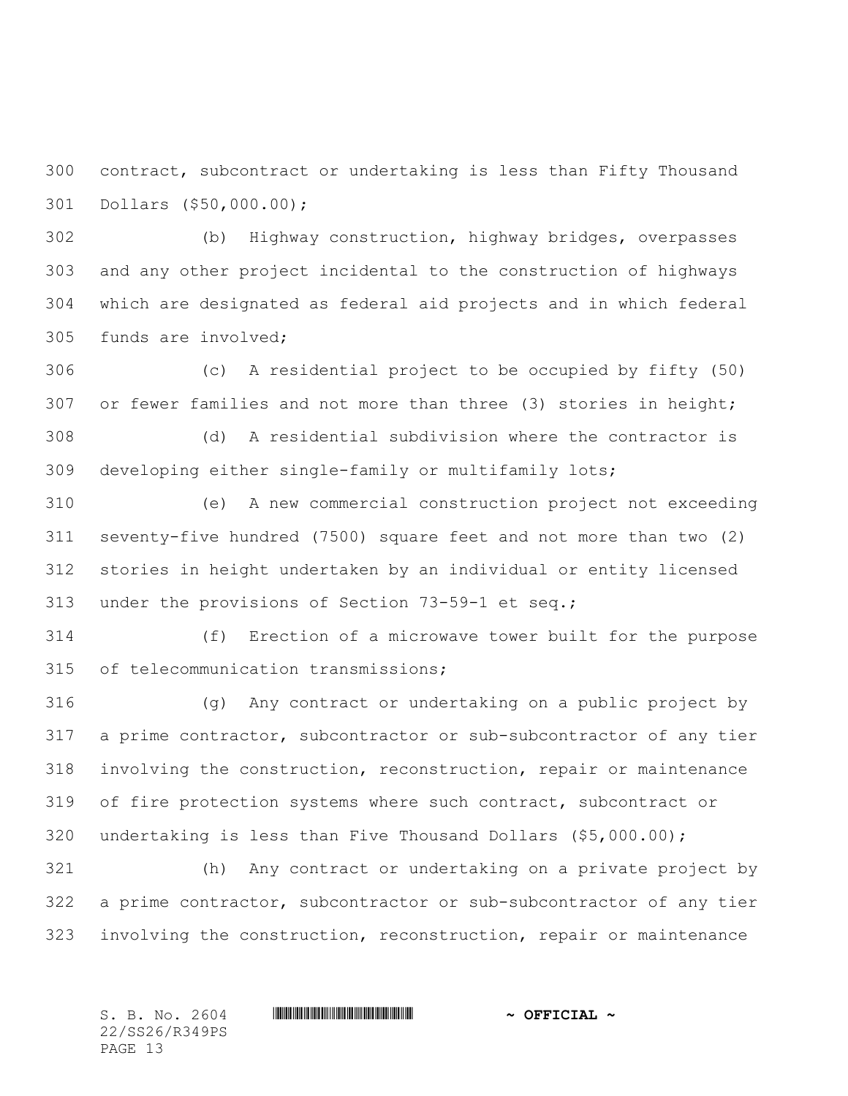contract, subcontract or undertaking is less than Fifty Thousand Dollars (\$50,000.00);

 (b) Highway construction, highway bridges, overpasses and any other project incidental to the construction of highways which are designated as federal aid projects and in which federal funds are involved;

 (c) A residential project to be occupied by fifty (50) 307 or fewer families and not more than three (3) stories in height;

 (d) A residential subdivision where the contractor is developing either single-family or multifamily lots;

 (e) A new commercial construction project not exceeding seventy-five hundred (7500) square feet and not more than two (2) stories in height undertaken by an individual or entity licensed under the provisions of Section 73-59-1 et seq.;

 (f) Erection of a microwave tower built for the purpose of telecommunication transmissions;

 (g) Any contract or undertaking on a public project by a prime contractor, subcontractor or sub-subcontractor of any tier involving the construction, reconstruction, repair or maintenance of fire protection systems where such contract, subcontract or undertaking is less than Five Thousand Dollars (\$5,000.00);

 (h) Any contract or undertaking on a private project by a prime contractor, subcontractor or sub-subcontractor of any tier involving the construction, reconstruction, repair or maintenance

S. B. No. 2604 **\*\*\* IN ANDER AND AND AN ASSEMBLE A ~ OFFICIAL ~** 22/SS26/R349PS PAGE 13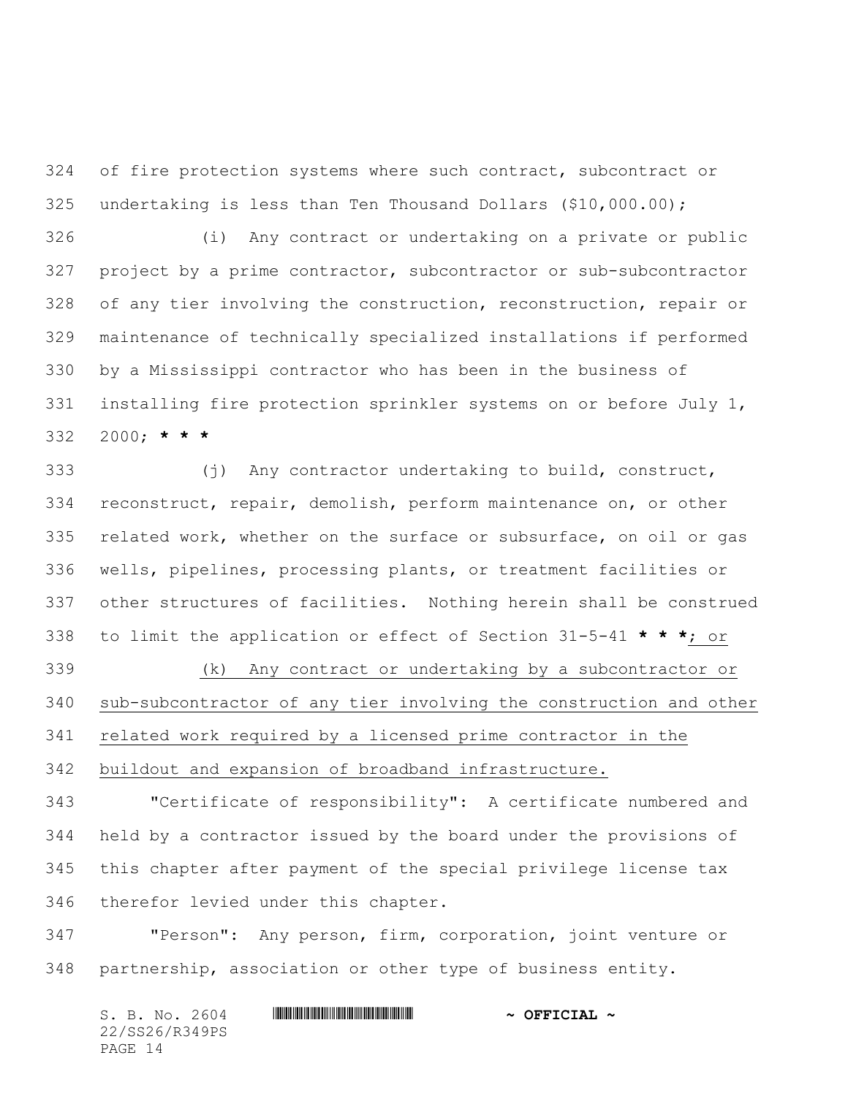of fire protection systems where such contract, subcontract or undertaking is less than Ten Thousand Dollars (\$10,000.00);

 (i) Any contract or undertaking on a private or public project by a prime contractor, subcontractor or sub-subcontractor of any tier involving the construction, reconstruction, repair or maintenance of technically specialized installations if performed by a Mississippi contractor who has been in the business of installing fire protection sprinkler systems on or before July 1, 2000; **\* \* \***

 (j) Any contractor undertaking to build, construct, reconstruct, repair, demolish, perform maintenance on, or other related work, whether on the surface or subsurface, on oil or gas wells, pipelines, processing plants, or treatment facilities or other structures of facilities. Nothing herein shall be construed to limit the application or effect of Section 31-5-41 **\* \* \***; or

 (k) Any contract or undertaking by a subcontractor or sub-subcontractor of any tier involving the construction and other related work required by a licensed prime contractor in the buildout and expansion of broadband infrastructure.

 "Certificate of responsibility": A certificate numbered and held by a contractor issued by the board under the provisions of this chapter after payment of the special privilege license tax therefor levied under this chapter.

 "Person": Any person, firm, corporation, joint venture or partnership, association or other type of business entity.

S. B. No. 2604 **\*\*\* ASSEMBLE ASSESSED ASSESSED ASSESSED ASSESSED ASSESSED ASSESSED ASSESSED ASSESSED ASSESSED ASSESSED ASSESSED ASSESSED AND <b>ASSESSED ASSESSED ASSESSED ASSESSED ASSESSED** AND **ASSESSED ASSESSED ASSESSED AS** 22/SS26/R349PS PAGE 14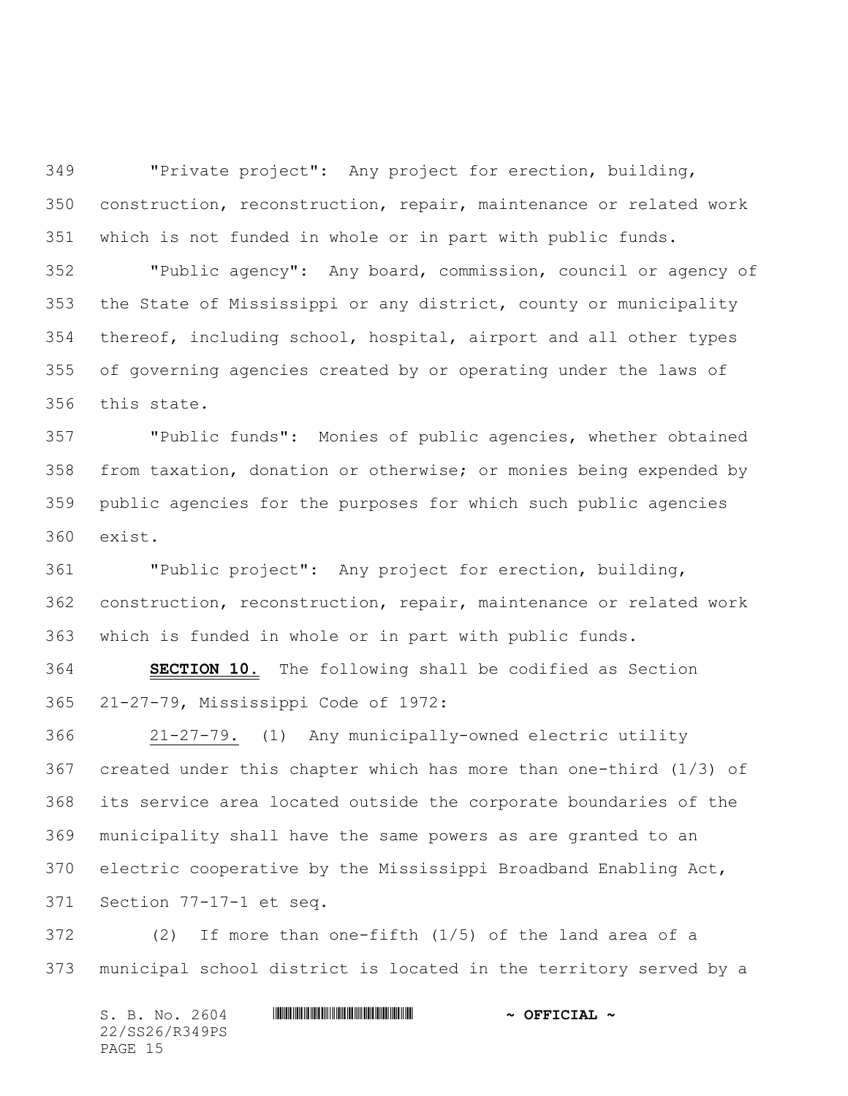"Private project": Any project for erection, building, construction, reconstruction, repair, maintenance or related work which is not funded in whole or in part with public funds.

 "Public agency": Any board, commission, council or agency of the State of Mississippi or any district, county or municipality thereof, including school, hospital, airport and all other types of governing agencies created by or operating under the laws of this state.

 "Public funds": Monies of public agencies, whether obtained from taxation, donation or otherwise; or monies being expended by public agencies for the purposes for which such public agencies exist.

 "Public project": Any project for erection, building, construction, reconstruction, repair, maintenance or related work which is funded in whole or in part with public funds.

 **SECTION 10.** The following shall be codified as Section 21-27-79, Mississippi Code of 1972:

 21-27-79. (1) Any municipally-owned electric utility created under this chapter which has more than one-third (1/3) of its service area located outside the corporate boundaries of the municipality shall have the same powers as are granted to an electric cooperative by the Mississippi Broadband Enabling Act, Section 77-17-1 et seq.

 (2) If more than one-fifth (1/5) of the land area of a municipal school district is located in the territory served by a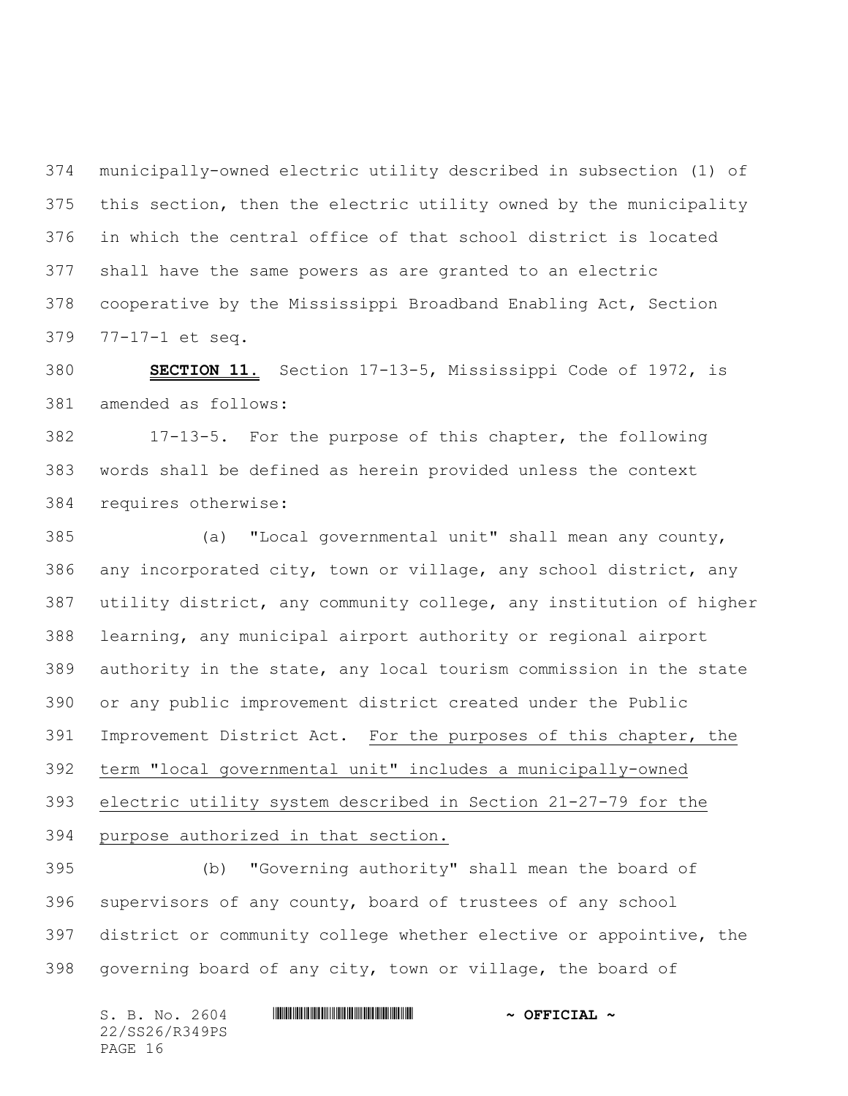municipally-owned electric utility described in subsection (1) of this section, then the electric utility owned by the municipality in which the central office of that school district is located shall have the same powers as are granted to an electric cooperative by the Mississippi Broadband Enabling Act, Section 77-17-1 et seq.

 **SECTION 11.** Section 17-13-5, Mississippi Code of 1972, is amended as follows:

 17-13-5. For the purpose of this chapter, the following words shall be defined as herein provided unless the context requires otherwise:

 (a) "Local governmental unit" shall mean any county, any incorporated city, town or village, any school district, any utility district, any community college, any institution of higher learning, any municipal airport authority or regional airport authority in the state, any local tourism commission in the state or any public improvement district created under the Public Improvement District Act. For the purposes of this chapter, the term "local governmental unit" includes a municipally-owned electric utility system described in Section 21-27-79 for the purpose authorized in that section.

 (b) "Governing authority" shall mean the board of supervisors of any county, board of trustees of any school district or community college whether elective or appointive, the governing board of any city, town or village, the board of

S. B. No. 2604 **\*\*\* ASSEMBLE ASSESSED ASSESSED ASSESSED ASSESSED ASSESSED ASSESSED ASSESSED ASSESSED ASSESSED ASSESSED ASSESSED ASSESSED AND <b>ASSESSED ASSESSED ASSESSED ASSESSED ASSESSED** AND **ASSESSED ASSESSED ASSESSED AS** 22/SS26/R349PS PAGE 16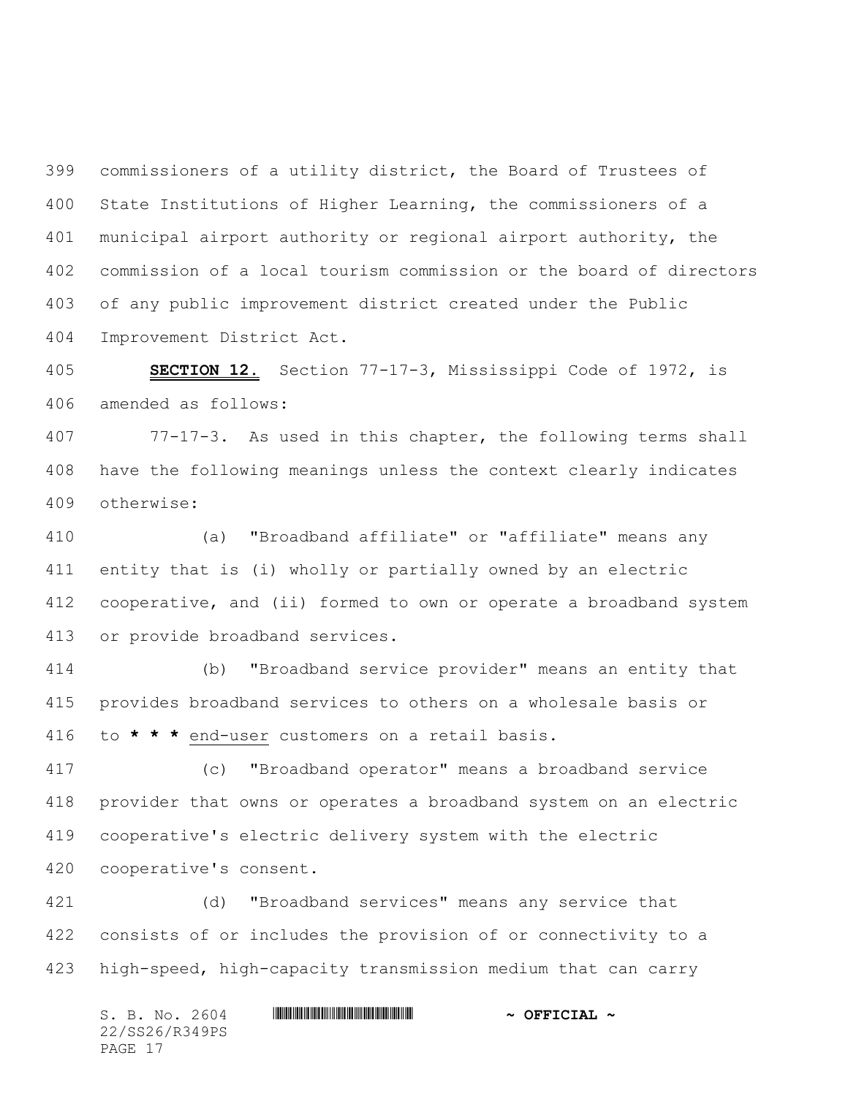commissioners of a utility district, the Board of Trustees of State Institutions of Higher Learning, the commissioners of a municipal airport authority or regional airport authority, the commission of a local tourism commission or the board of directors of any public improvement district created under the Public Improvement District Act.

 **SECTION 12.** Section 77-17-3, Mississippi Code of 1972, is amended as follows:

 77-17-3. As used in this chapter, the following terms shall have the following meanings unless the context clearly indicates otherwise:

 (a) "Broadband affiliate" or "affiliate" means any entity that is (i) wholly or partially owned by an electric cooperative, and (ii) formed to own or operate a broadband system or provide broadband services.

 (b) "Broadband service provider" means an entity that provides broadband services to others on a wholesale basis or to **\* \* \*** end-user customers on a retail basis.

 (c) "Broadband operator" means a broadband service provider that owns or operates a broadband system on an electric cooperative's electric delivery system with the electric cooperative's consent.

 (d) "Broadband services" means any service that consists of or includes the provision of or connectivity to a high-speed, high-capacity transmission medium that can carry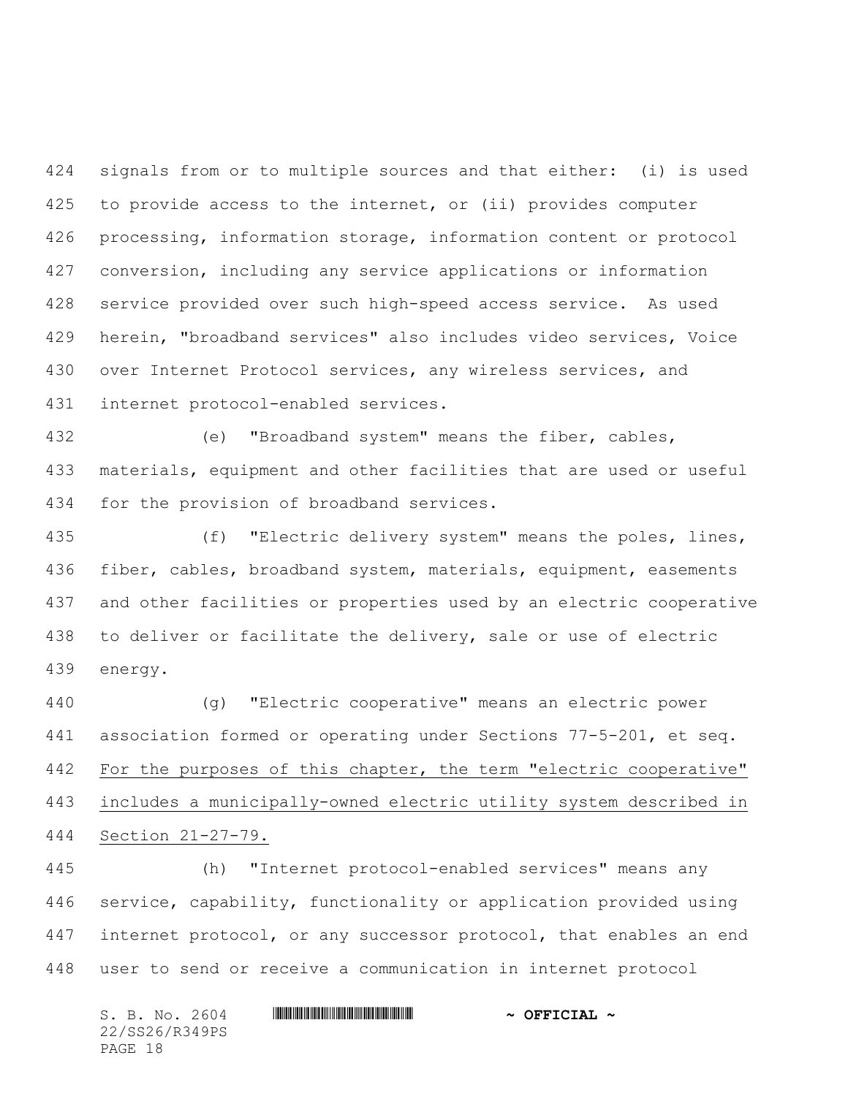signals from or to multiple sources and that either: (i) is used to provide access to the internet, or (ii) provides computer processing, information storage, information content or protocol conversion, including any service applications or information service provided over such high-speed access service. As used herein, "broadband services" also includes video services, Voice over Internet Protocol services, any wireless services, and internet protocol-enabled services.

 (e) "Broadband system" means the fiber, cables, materials, equipment and other facilities that are used or useful for the provision of broadband services.

 (f) "Electric delivery system" means the poles, lines, 436 fiber, cables, broadband system, materials, equipment, easements and other facilities or properties used by an electric cooperative to deliver or facilitate the delivery, sale or use of electric energy.

 (g) "Electric cooperative" means an electric power association formed or operating under Sections 77-5-201, et seq. 442 For the purposes of this chapter, the term "electric cooperative" includes a municipally-owned electric utility system described in Section 21-27-79.

 (h) "Internet protocol-enabled services" means any service, capability, functionality or application provided using internet protocol, or any successor protocol, that enables an end user to send or receive a communication in internet protocol